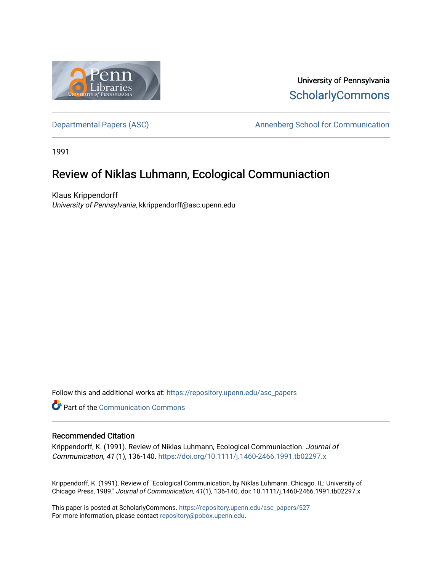

University of Pennsylvania **ScholarlyCommons** 

[Departmental Papers \(ASC\)](https://repository.upenn.edu/asc_papers) and a new Annenberg School for Communication

1991

# Review of Niklas Luhmann, Ecological Communiaction

Klaus Krippendorff University of Pennsylvania, kkrippendorff@asc.upenn.edu

Follow this and additional works at: [https://repository.upenn.edu/asc\\_papers](https://repository.upenn.edu/asc_papers?utm_source=repository.upenn.edu%2Fasc_papers%2F527&utm_medium=PDF&utm_campaign=PDFCoverPages)

Part of the [Communication Commons](http://network.bepress.com/hgg/discipline/325?utm_source=repository.upenn.edu%2Fasc_papers%2F527&utm_medium=PDF&utm_campaign=PDFCoverPages) 

#### Recommended Citation

Krippendorff, K. (1991). Review of Niklas Luhmann, Ecological Communiaction. Journal of Communication, 41 (1), 136-140.<https://doi.org/10.1111/j.1460-2466.1991.tb02297.x>

Krippendorff, K. (1991). Review of "Ecological Communication, by Niklas Luhmann. Chicago. IL: University of Chicago Press, 1989." Journal of Communication, 41(1), 136-140. doi: 10.1111/j.1460-2466.1991.tb02297.x

This paper is posted at ScholarlyCommons. [https://repository.upenn.edu/asc\\_papers/527](https://repository.upenn.edu/asc_papers/527)  For more information, please contact [repository@pobox.upenn.edu.](mailto:repository@pobox.upenn.edu)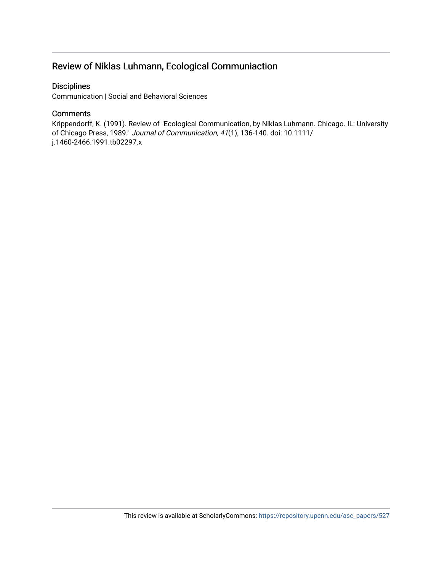# Review of Niklas Luhmann, Ecological Communiaction

### **Disciplines**

Communication | Social and Behavioral Sciences

## **Comments**

Krippendorff, K. (1991). Review of "Ecological Communication, by Niklas Luhmann. Chicago. IL: University of Chicago Press, 1989." Journal of Communication, 41(1), 136-140. doi: 10.1111/ j.1460-2466.1991.tb02297.x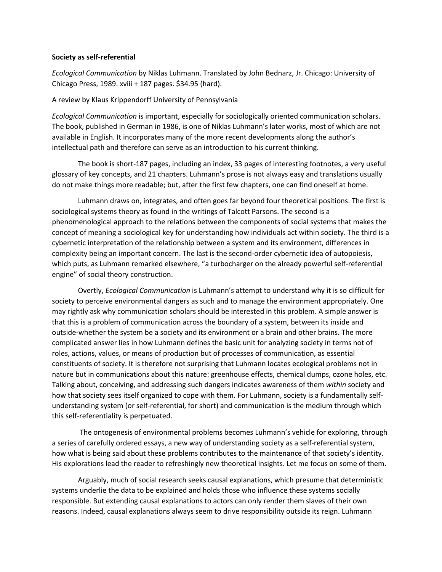#### **Society as self-referential**

*Ecological Communication* by Niklas Luhmann. Translated by John Bednarz, Jr. Chicago: University of Chicago Press, 1989. xviii + 187 pages. \$34.95 (hard).

#### A review by Klaus Krippendorff University of Pennsylvania

*Ecological Communication* is important, especially for sociologically oriented communication scholars. The book, published in German in 1986, is one of Niklas Luhmann's later works, most of which are not available in English. It incorporates many of the more recent developments along the author's intellectual path and therefore can serve as an introduction to his current thinking.

The book is short-187 pages, including an index, 33 pages of interesting footnotes, a very useful glossary of key concepts, and 21 chapters. Luhmann's prose is not always easy and translations usually do not make things more readable; but, after the first few chapters, one can find oneself at home.

Luhmann draws on, integrates, and often goes far beyond four theoretical positions. The first is sociological systems theory as found in the writings of Talcott Parsons. The second is a phenomenological approach to the relations between the components of social systems that makes the concept of meaning a sociological key for understanding how individuals act within society. The third is a cybernetic interpretation of the relationship between a system and its environment, differences in complexity being an important concern. The last is the second-order cybernetic idea of autopoiesis, which puts, as Luhmann remarked elsewhere, "a turbocharger on the already powerful self-referential engine" of social theory construction.

Overtly, *Ecological Communication* is Luhmann's attempt to understand why it is so difficult for society to perceive environmental dangers as such and to manage the environment appropriately. One may rightly ask why communication scholars should be interested in this problem. A simple answer is that this is a problem of communication across the boundary of a system, between its inside and outside-whether the system be a society and its environment or a brain and other brains. The more complicated answer lies in how Luhmann defines the basic unit for analyzing society in terms not of roles, actions, values, or means of production but of processes of communication, as essential constituents of society. It is therefore not surprising that Luhmann locates ecological problems not in nature but in communications about this nature: greenhouse effects, chemical dumps, ozone holes, etc. Talking about, conceiving, and addressing such dangers indicates awareness of them *within* society and how that society sees itself organized to cope with them. For Luhmann, society is a fundamentally selfunderstanding system (or self-referential, for short) and communication is the medium through which this self-referentiality is perpetuated.

The ontogenesis of environmental problems becomes Luhmann's vehicle for exploring, through a series of carefully ordered essays, a new way of understanding society as a self-referential system, how what is being said about these problems contributes to the maintenance of that society's identity. His explorations lead the reader to refreshingly new theoretical insights. Let me focus on some of them.

Arguably, much of social research seeks causal explanations, which presume that deterministic systems underlie the data to be explained and holds those who influence these systems socially responsible. But extending causal explanations to actors can only render them slaves of their own reasons. Indeed, causal explanations always seem to drive responsibility outside its reign. Luhmann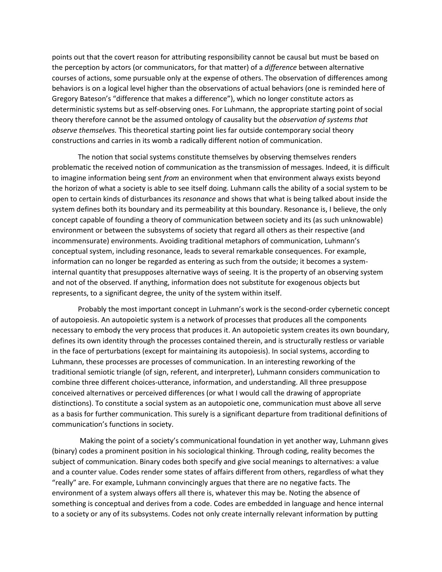points out that the covert reason for attributing responsibility cannot be causal but must be based on the perception by actors (or communicators, for that matter) of a *difference* between alternative courses of actions, some pursuable only at the expense of others. The observation of differences among behaviors is on a logical level higher than the observations of actual behaviors (one is reminded here of Gregory Bateson's "difference that makes a difference"), which no longer constitute actors as deterministic systems but as self-observing ones. For Luhmann, the appropriate starting point of social theory therefore cannot be the assumed ontology of causality but the *observation of systems that observe themselves.* This theoretical starting point lies far outside contemporary social theory constructions and carries in its womb a radically different notion of communication.

The notion that social systems constitute themselves by observing themselves renders problematic the received notion of communication as the transmission of messages. Indeed, it is difficult to imagine information being sent *from* an environment when that environment always exists beyond the horizon of what a society is able to see itself doing. Luhmann calls the ability of a social system to be open to certain kinds of disturbances its *resonance* and shows that what is being talked about inside the system defines both its boundary and its permeability at this boundary. Resonance is, I believe, the only concept capable of founding a theory of communication between society and its (as such unknowable) environment or between the subsystems of society that regard all others as their respective (and incommensurate) environments. Avoiding traditional metaphors of communication, Luhmann's conceptual system, including resonance, leads to several remarkable consequences. For example, information can no longer be regarded as entering as such from the outside; it becomes a systeminternal quantity that presupposes alternative ways of seeing. It is the property of an observing system and not of the observed. If anything, information does not substitute for exogenous objects but represents, to a significant degree, the unity of the system within itself.

Probably the most important concept in Luhmann's work is the second-order cybernetic concept of autopoiesis. An autopoietic system is a network of processes that produces all the components necessary to embody the very process that produces it. An autopoietic system creates its own boundary, defines its own identity through the processes contained therein, and is structurally restless or variable in the face of perturbations (except for maintaining its autopoiesis). In social systems, according to Luhmann, these processes are processes of communication. In an interesting reworking of the traditional semiotic triangle (of sign, referent, and interpreter), Luhmann considers communication to combine three different choices-utterance, information, and understanding. All three presuppose conceived alternatives or perceived differences (or what I would call the drawing of appropriate distinctions). To constitute a social system as an autopoietic one, communication must above all serve as a basis for further communication. This surely is a significant departure from traditional definitions of communication's functions in society.

Making the point of a society's communicational foundation in yet another way, Luhmann gives (binary) codes a prominent position in his sociological thinking. Through coding, reality becomes the subject of communication. Binary codes both specify and give social meanings to alternatives: a value and a counter value. Codes render some states of affairs different from others, regardless of what they "really" are. For example, Luhmann convincingly argues that there are no negative facts. The environment of a system always offers all there is, whatever this may be. Noting the absence of something is conceptual and derives from a code. Codes are embedded in language and hence internal to a society or any of its subsystems. Codes not only create internally relevant information by putting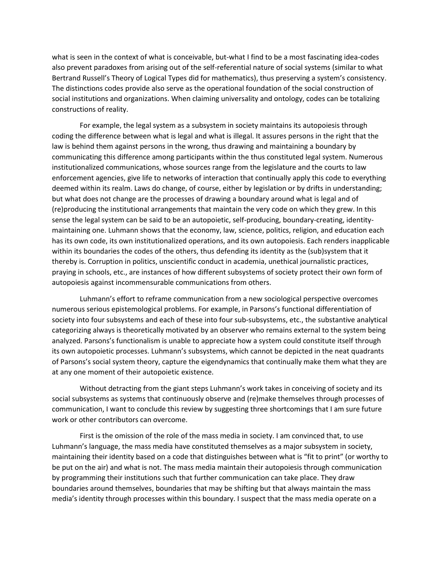what is seen in the context of what is conceivable, but-what I find to be a most fascinating idea-codes also prevent paradoxes from arising out of the self-referential nature of social systems (similar to what Bertrand Russell's Theory of Logical Types did for mathematics), thus preserving a system's consistency. The distinctions codes provide also serve as the operational foundation of the social construction of social institutions and organizations. When claiming universality and ontology, codes can be totalizing constructions of reality.

For example, the legal system as a subsystem in society maintains its autopoiesis through coding the difference between what is legal and what is illegal. It assures persons in the right that the law is behind them against persons in the wrong, thus drawing and maintaining a boundary by communicating this difference among participants within the thus constituted legal system. Numerous institutionalized communications, whose sources range from the legislature and the courts to law enforcement agencies, give life to networks of interaction that continually apply this code to everything deemed within its realm. Laws do change, of course, either by legislation or by drifts in understanding; but what does not change are the processes of drawing a boundary around what is legal and of (re)producing the institutional arrangements that maintain the very code on which they grew. In this sense the legal system can be said to be an autopoietic, self-producing, boundary-creating, identitymaintaining one. Luhmann shows that the economy, law, science, politics, religion, and education each has its own code, its own institutionalized operations, and its own autopoiesis. Each renders inapplicable within its boundaries the codes of the others, thus defending its identity as the (sub)system that it thereby is. Corruption in politics, unscientific conduct in academia, unethical journalistic practices, praying in schools, etc., are instances of how different subsystems of society protect their own form of autopoiesis against incommensurable communications from others.

Luhmann's effort to reframe communication from a new sociological perspective overcomes numerous serious epistemological problems. For example, in Parsons's functional differentiation of society into four subsystems and each of these into four sub-subsystems, etc., the substantive analytical categorizing always is theoretically motivated by an observer who remains external to the system being analyzed. Parsons's functionalism is unable to appreciate how a system could constitute itself through its own autopoietic processes. Luhmann's subsystems, which cannot be depicted in the neat quadrants of Parsons's social system theory, capture the eigendynamics that continually make them what they are at any one moment of their autopoietic existence.

Without detracting from the giant steps Luhmann's work takes in conceiving of society and its social subsystems as systems that continuously observe and (re)make themselves through processes of communication, I want to conclude this review by suggesting three shortcomings that I am sure future work or other contributors can overcome.

First is the omission of the role of the mass media in society. I am convinced that, to use Luhmann's language, the mass media have constituted themselves as a major subsystem in society, maintaining their identity based on a code that distinguishes between what is "fit to print" (or worthy to be put on the air) and what is not. The mass media maintain their autopoiesis through communication by programming their institutions such that further communication can take place. They draw boundaries around themselves, boundaries that may be shifting but that always maintain the mass media's identity through processes within this boundary. I suspect that the mass media operate on a